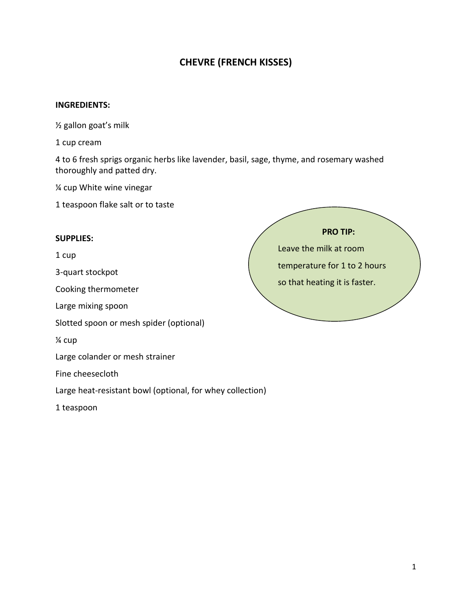## **CHEVRE (FRENCH KISSES)**

## **INGREDIENTS:**

½ gallon goat's milk

1 cup cream

4 to 6 fresh sprigs organic herbs like lavender, basil, sage, thyme, and rosemary washed thoroughly and patted dry.

¼ cup White wine vinegar

1 teaspoon flake salt or to taste

## **SUPPLIES:**

1 cup

3-quart stockpot

Cooking thermometer

Large mixing spoon

Slotted spoon or mesh spider (optional)

¼ cup

Large colander or mesh strainer

Fine cheesecloth

Large heat-resistant bowl (optional, for whey collection)

1 teaspoon

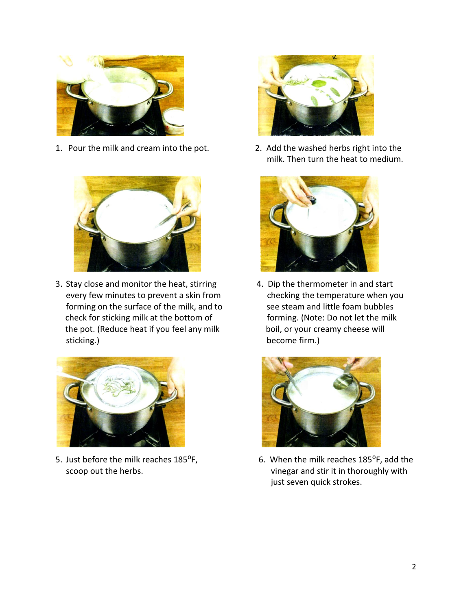

1. Pour the milk and cream into the pot. 2. Add the washed herbs right into the



3. Stay close and monitor the heat, stirring 4. Dip the thermometer in and start every few minutes to prevent a skin from checking the temperature when you forming on the surface of the milk, and to see steam and little foam bubbles check for sticking milk at the bottom of forming. (Note: Do not let the milk the pot. (Reduce heat if you feel any milk boil, or your creamy cheese will sticking.) become firm.)





milk. Then turn the heat to medium.





5. Just before the milk reaches 185°F, 6. When the milk reaches 185°F, add the scoop out the herbs.  $\blacksquare$ just seven quick strokes.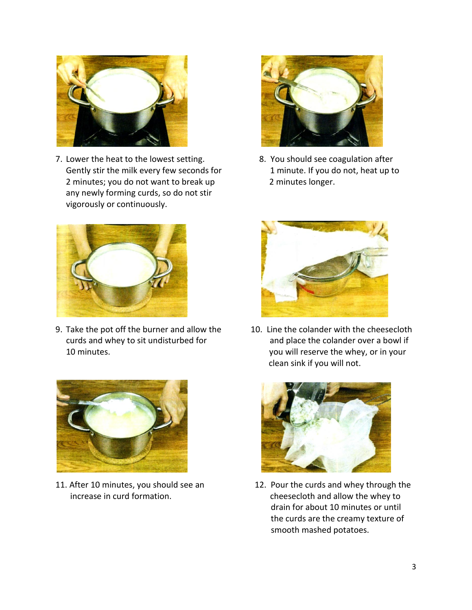

7. Lower the heat to the lowest setting. 8. You should see coagulation after Gently stir the milk every few seconds for 1 minute. If you do not, heat up to 2 minutes; you do not want to break up 2 minutes longer. any newly forming curds, so do not stir vigorously or continuously.



9. Take the pot off the burner and allow the 10. Line the colander with the cheesecloth 10 minutes. you will reserve the whey, or in your







curds and whey to sit undisturbed for and place the colander over a bowl if clean sink if you will not.



11. After 10 minutes, you should see an 12. Pour the curds and whey through the increase in curd formation. The cheesecloth and allow the whey to drain for about 10 minutes or until the curds are the creamy texture of smooth mashed potatoes.